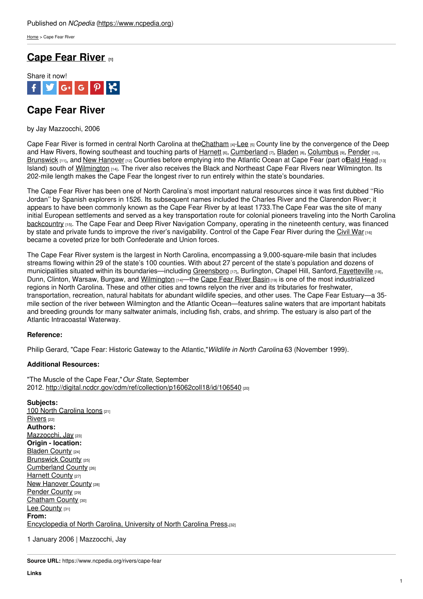[Home](https://www.ncpedia.org/) > Cape Fear River

## **Cape Fear [River](https://www.ncpedia.org/rivers/cape-fear) [1]**



## **Cape Fear River**

by Jay Mazzocchi, 2006

Cape Fear River is formed in central North Carolina at the Chatham  $[4]$ [-Lee](https://www.ncpedia.org/geography/lee)  $[5]$  County line by the convergence of the Deep and Haw Rivers, flowing southeast and touching parts of [Harnett](https://www.ncpedia.org/geography/harnett) [6], [Cumberland](https://www.ncpedia.org/geography/cumberland) [7], [Bladen](https://www.ncpedia.org/geography/bladen) [8], [Columbus](https://www.ncpedia.org/geography/columbus) [9], [Pender](https://www.ncpedia.org/geography/pender) [10], [Brunswick](https://www.ncpedia.org/geography/brunswick) [11], and New [Hanover](https://www.ncpedia.org/geography/new-hanover) [12] Counties before emptying into the Atlantic Ocean at Cape Fear (part ofBald [Head](https://www.ncpedia.org/bald-head) [13] Island) south of [Wilmington](https://www.ncpedia.org/geography/wilmington) [14]. The river also receives the Black and Northeast Cape Fear Rivers near Wilmington. Its 202-mile length makes the Cape Fear the longest river to run entirely within the state's boundaries.

The Cape Fear River has been one of North [Carolina's](http://www.social9.com) most important natural resources since it was first dubbed ''Rio Jordan'' by Spanish explorers in 1526. Its subsequent names included the Charles River and the Clarendon River; it appears to have been commonly known as the Cape Fear River by at least 1733.The Cape Fear was the site of many initial European settlements and served as a key transportation route for colonial pioneers traveling into the North Carolina [backcountry](https://www.ncpedia.org/backcountry) [15]. The Cape Fear and Deep River Navigation Company, operating in the nineteenth century, was financed by state and private funds to improve the river's navigability. Control of the Cape Fear River during the [Civil](https://www.ncpedia.org/history/cw-1900/civil-war) War [16] became a coveted prize for both Confederate and Union forces.

The Cape Fear River system is the largest in North Carolina, encompassing a 9,000-square-mile basin that includes streams flowing within 29 of the state's 100 counties. With about 27 percent of the state's population and dozens of municipalities situated within its boundaries—including [Greensboro](https://www.ncpedia.org/geography/greensboro) [17], Burlington, Chapel Hill, Sanford, [Fayetteville](https://www.ncpedia.org/geography/fayetteville) [18], Dunn, Clinton, Warsaw, Burgaw, and [Wilmington](https://www.ncpedia.org/geography/wilmington) [14]—the [Cape](http://www.eenorthcarolina.org/riverbasins.html) Fear River Basin [19] is one of the most industrialized regions in North Carolina. These and other cities and towns relyon the river and its tributaries for freshwater, transportation, recreation, natural habitats for abundant wildlife species, and other uses. The Cape Fear Estuary—a 35 mile section of the river between Wilmington and the Atlantic Ocean—features saline waters that are important habitats and breeding grounds for many saltwater animals, including fish, crabs, and shrimp. The estuary is also part of the Atlantic Intracoastal Waterway.

## **Reference:**

Philip Gerard, "Cape Fear: Historic Gateway to the Atlantic,"*Wildlife in North Carolina* 63 (November 1999).

## **Additional Resources:**

"The Muscle of the Cape Fear,"*Our State*, September 2012. <http://digital.ncdcr.gov/cdm/ref/collection/p16062coll18/id/106540> [20]

**Subjects:** 100 North [Carolina](https://www.ncpedia.org/north-carolina-icons) Icons [21] [Rivers](https://www.ncpedia.org/category/subjects/rivers) [22] **Authors:** [Mazzocchi,](https://www.ncpedia.org/category/authors/mazzocchi-jay) Jay [23] **Origin - location:** [Bladen](https://www.ncpedia.org/category/origin-location/coastal--5) County [24] [Brunswick](https://www.ncpedia.org/category/origin-location/brunswick-) County [25] [Cumberland](https://www.ncpedia.org/category/origin-location/coastal--4) County [26] [Harnett](https://www.ncpedia.org/category/origin-location/harnett-co) County [27] New [Hanover](https://www.ncpedia.org/category/origin-location/coastal--7) County [28] [Pender](https://www.ncpedia.org/category/origin-location/coastal--6) County [29] [Chatham](https://www.ncpedia.org/category/origin-location/piedmont-9) County [30] Lee [County](https://www.ncpedia.org/category/origin-location/piedmont/l) [31] **From:** [Encyclopedia](https://www.ncpedia.org/category/entry-source/encyclopedia-) of North Carolina, University of North Carolina Press.[32]

1 January 2006 | Mazzocchi, Jay

**Source URL:** https://www.ncpedia.org/rivers/cape-fear